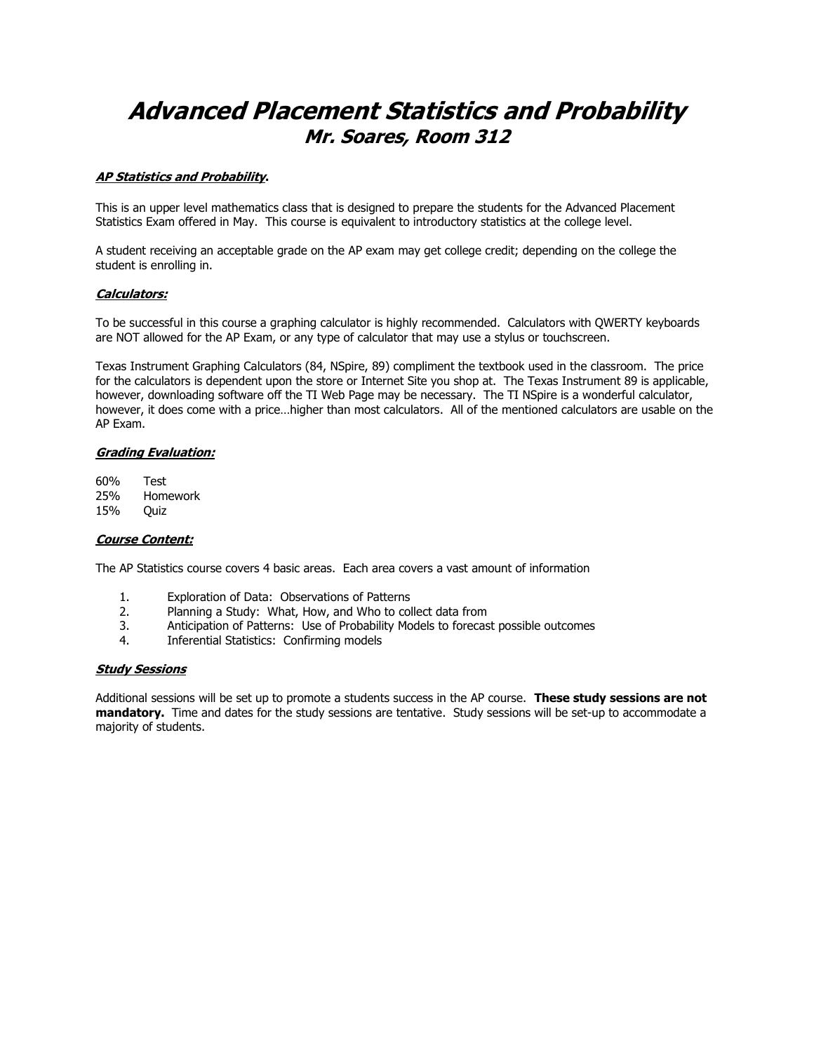# Advanced Placement Statistics and Probability Mr. Soares, Room 312

## AP Statistics and Probability.

This is an upper level mathematics class that is designed to prepare the students for the Advanced Placement Statistics Exam offered in May. This course is equivalent to introductory statistics at the college level.

A student receiving an acceptable grade on the AP exam may get college credit; depending on the college the student is enrolling in.

### Calculators:

To be successful in this course a graphing calculator is highly recommended. Calculators with QWERTY keyboards are NOT allowed for the AP Exam, or any type of calculator that may use a stylus or touchscreen.

Texas Instrument Graphing Calculators (84, NSpire, 89) compliment the textbook used in the classroom. The price for the calculators is dependent upon the store or Internet Site you shop at. The Texas Instrument 89 is applicable, however, downloading software off the TI Web Page may be necessary. The TI NSpire is a wonderful calculator, however, it does come with a price…higher than most calculators. All of the mentioned calculators are usable on the AP Exam.

#### Grading Evaluation:

60% Test 25% Homework 15% Quiz

#### Course Content:

The AP Statistics course covers 4 basic areas. Each area covers a vast amount of information

- 1. Exploration of Data: Observations of Patterns
- 2. Planning a Study: What, How, and Who to collect data from
- 3. Anticipation of Patterns: Use of Probability Models to forecast possible outcomes
- 4. Inferential Statistics: Confirming models

#### Study Sessions

Additional sessions will be set up to promote a students success in the AP course. These study sessions are not mandatory. Time and dates for the study sessions are tentative. Study sessions will be set-up to accommodate a majority of students.